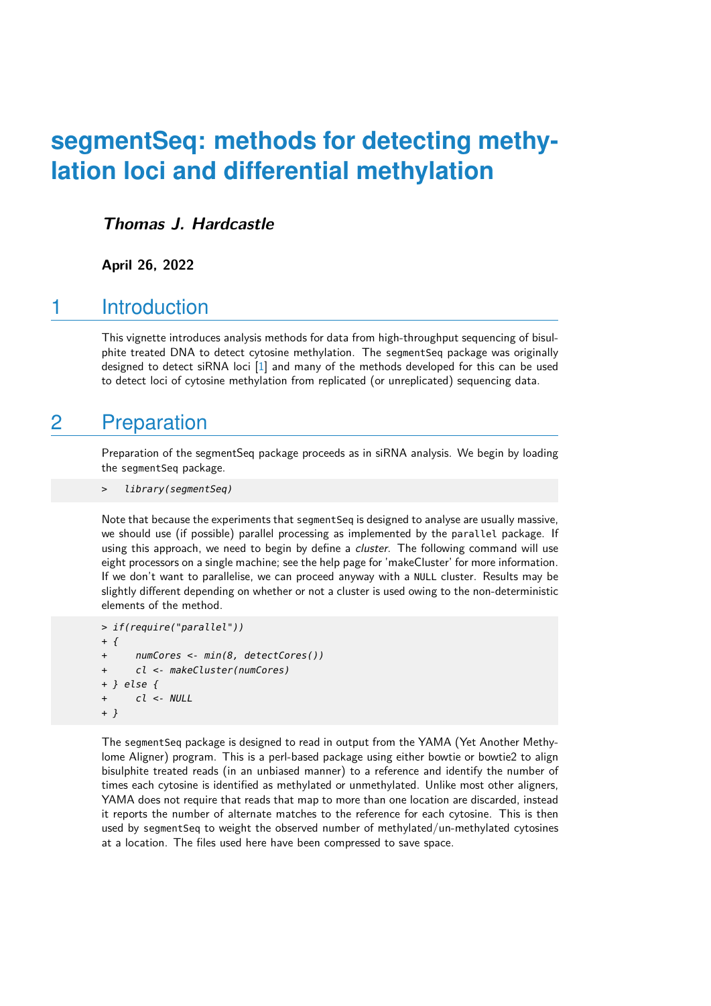# **segmentSeq: methods for detecting methylation loci and differential methylation**

### **Thomas J. Hardcastle**

**April 26, 2022**

## 1 Introduction

This vignette introduces analysis methods for data from high-throughput sequencing of bisulphite treated DNA to detect cytosine methylation. The segmentSeq package was originally designed to detect siRNA loci [\[1\]](#page-6-0) and many of the methods developed for this can be used to detect loci of cytosine methylation from replicated (or unreplicated) sequencing data.

# 2 Preparation

Preparation of the segmentSeq package proceeds as in siRNA analysis. We begin by loading the segmentSeq package.

library(segmentSeq)

Note that because the experiments that segment Seq is designed to analyse are usually massive. we should use (if possible) parallel processing as implemented by the parallel package. If using this approach, we need to begin by define a *cluster*. The following command will use eight processors on a single machine; see the help page for 'makeCluster' for more information. If we don't want to parallelise, we can proceed anyway with a NULL cluster. Results may be slightly different depending on whether or not a cluster is used owing to the non-deterministic elements of the method.

```
> if(require("parallel"))
+ {
      numCores <- min(8, detectCores())
      cl <- makeCluster(numCores)
+ } else {
      cl <- NULL+ }
```
The segmentSeq package is designed to read in output from the YAMA (Yet Another Methylome Aligner) program. This is a perl-based package using either bowtie or bowtie2 to align bisulphite treated reads (in an unbiased manner) to a reference and identify the number of times each cytosine is identified as methylated or unmethylated. Unlike most other aligners, YAMA does not require that reads that map to more than one location are discarded, instead it reports the number of alternate matches to the reference for each cytosine. This is then used by segmentSeq to weight the observed number of methylated/un-methylated cytosines at a location. The files used here have been compressed to save space.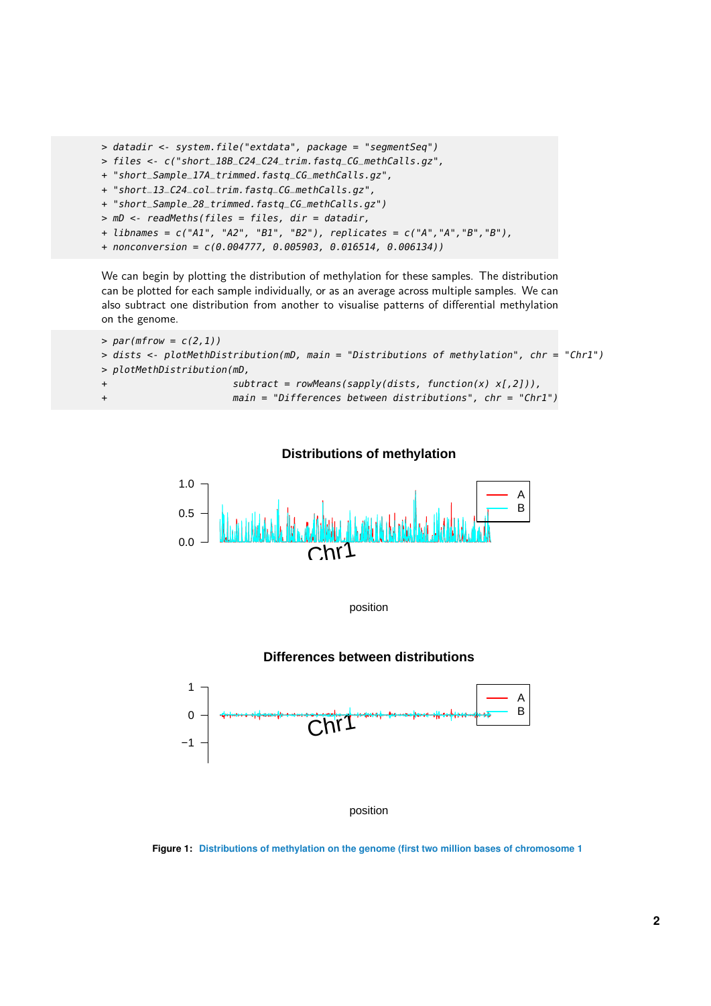```
> datadir <- system.file("extdata", package = "segmentSeq")
> files <- c("short_18B_C24_C24_trim.fastq_CG_methCalls.gz",
+ "short_Sample_17A_trimmed.fastq_CG_methCalls.gz",
```
- + "short\_13\_C24\_col\_trim.fastq\_CG\_methCalls.gz",
- + "short\_Sample\_28\_trimmed.fastq\_CG\_methCalls.gz")
- > mD <- readMeths(files = files, dir = datadir,
- + libnames = c("A1", "A2", "B1", "B2"), replicates = c("A","A","B","B"),
- + nonconversion = c(0.004777, 0.005903, 0.016514, 0.006134))

We can begin by plotting the distribution of methylation for these samples. The distribution can be plotted for each sample individually, or as an average across multiple samples. We can also subtract one distribution from another to visualise patterns of differential methylation on the genome.

```
> par(mfrow = c(2,1))> dists <- plotMethDistribution(mD, main = "Distributions of methylation", chr = "Chr1")
> plotMethDistribution(mD,
                     subtract = rowMeans(sapply(dists, function(x) x[,2])),
+ main = "Differences between distributions", chr = "Chr1")
```




position

#### **Differences between distributions**



position

**Figure 1: Distributions of methylation on the genome (first two million bases of chromosome 1**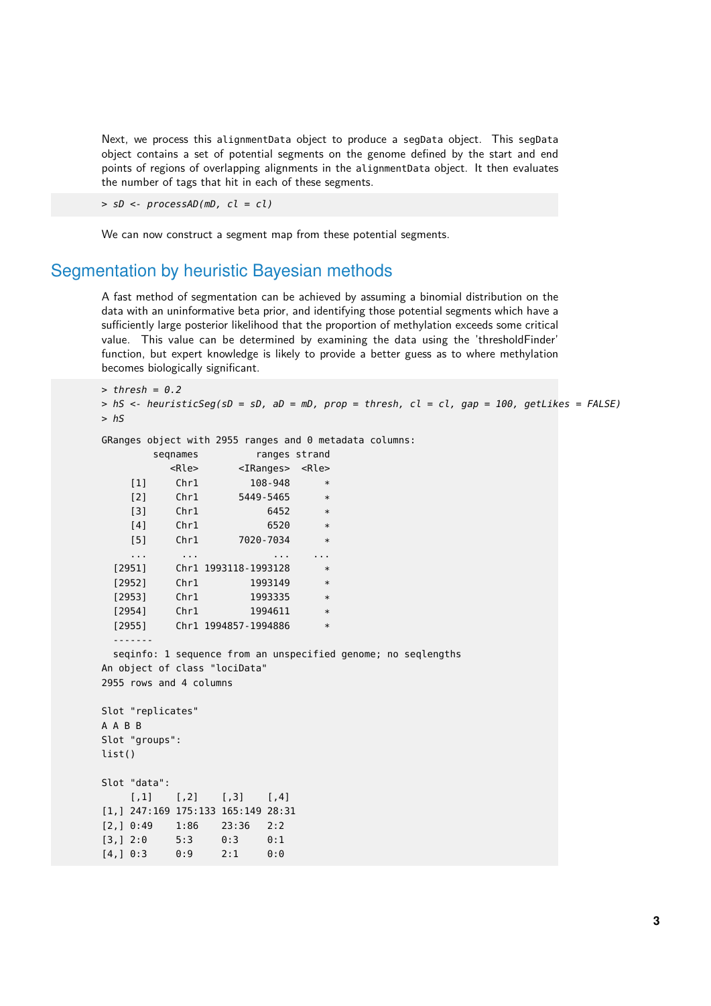Next, we process this alignmentData object to produce a segData object. This segData object contains a set of potential segments on the genome defined by the start and end points of regions of overlapping alignments in the alignmentData object. It then evaluates the number of tags that hit in each of these segments.

 $>$  sD <- processAD(mD, cl = cl)

We can now construct a segment map from these potential segments.

### Segmentation by heuristic Bayesian methods

A fast method of segmentation can be achieved by assuming a binomial distribution on the data with an uninformative beta prior, and identifying those potential segments which have a sufficiently large posterior likelihood that the proportion of methylation exceeds some critical value. This value can be determined by examining the data using the 'thresholdFinder' function, but expert knowledge is likely to provide a better guess as to where methylation becomes biologically significant.

```
> thresh = 0.2
> hS <- heuristicSeg(sD = sD, aD = mD, prop = thresh, cl = cl, gap = 100, getLikes = FALSE)
> hS
GRanges object with 2955 ranges and 0 metadata columns:
       seqnames ranges strand
         <Rle> <IRanges> <Rle>
    [1] Chr1 108-948 *
    [2] Chr1 5449-5465 *
    [3] Chr1 6452 *
    [4] Chr1 6520
    [5] Chr1 7020-7034
    ... ... ... ...
 [2951] Chr1 1993118-1993128 *
 [2952] Chr1 1993149
 [2953] Chr1 1993335 *
 [2954] Chr1 1994611 *
 [2955] Chr1 1994857-1994886 *
 -------
 seqinfo: 1 sequence from an unspecified genome; no seqlengths
An object of class "lociData"
2955 rows and 4 columns
Slot "replicates"
A A B B
Slot "groups":
list()
Slot "data":
    [1] [2] [3] [4][1,] 247:169 175:133 165:149 28:31
[2,] 0:49 1:86 23:36 2:2
[3,] 2:0 5:3 0:3 0:1
[4,] 0:3 0:9 2:1 0:0
```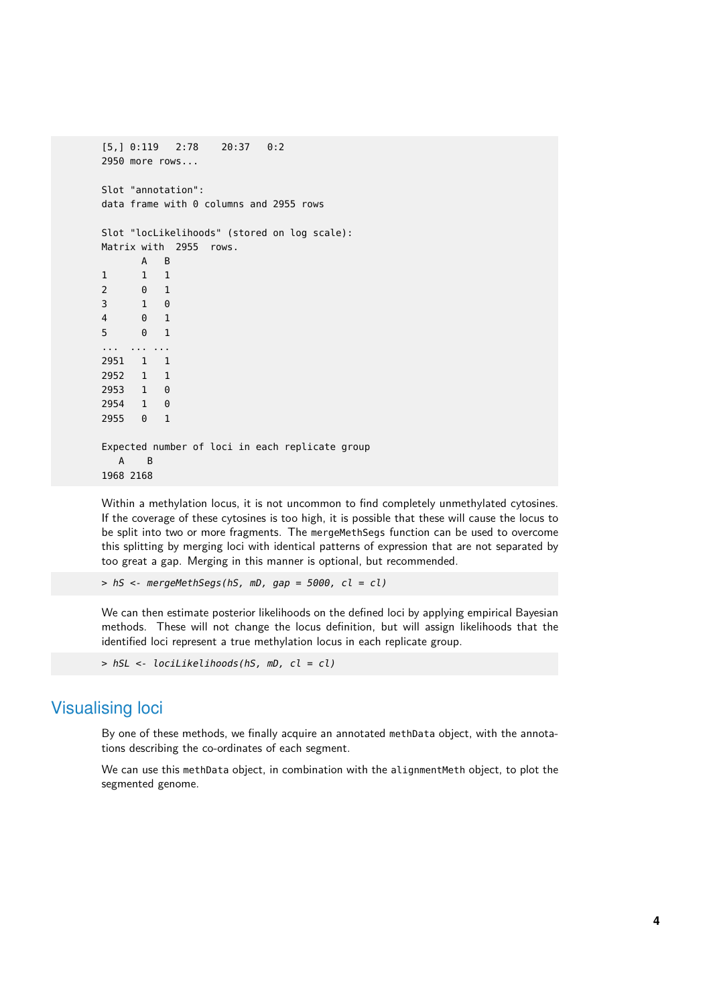```
[5,] 0:119 2:78 20:37 0:2
2950 more rows...
Slot "annotation":
data frame with 0 columns and 2955 rows
Slot "locLikelihoods" (stored on log scale):
Matrix with 2955 rows.
     A B
1 1 1
2 0 1
3 1 0
4 0 1
5 0 1
... ... ...
2951 1 1
2952 1 1
2953 1 0
2954 1 0
2955 0 1
Expected number of loci in each replicate group
  A B
1968 2168
```
Within a methylation locus, it is not uncommon to find completely unmethylated cytosines. If the coverage of these cytosines is too high, it is possible that these will cause the locus to be split into two or more fragments. The mergeMethSegs function can be used to overcome this splitting by merging loci with identical patterns of expression that are not separated by too great a gap. Merging in this manner is optional, but recommended.

 $>$  hS <- mergeMethSegs(hS, mD, gap = 5000, cl = cl)

We can then estimate posterior likelihoods on the defined loci by applying empirical Bayesian methods. These will not change the locus definition, but will assign likelihoods that the identified loci represent a true methylation locus in each replicate group.

```
> hSL <- lociLikelihoods(hS, mD, cl = cl)
```
## Visualising loci

By one of these methods, we finally acquire an annotated methData object, with the annotations describing the co-ordinates of each segment.

We can use this methData object, in combination with the alignmentMeth object, to plot the segmented genome.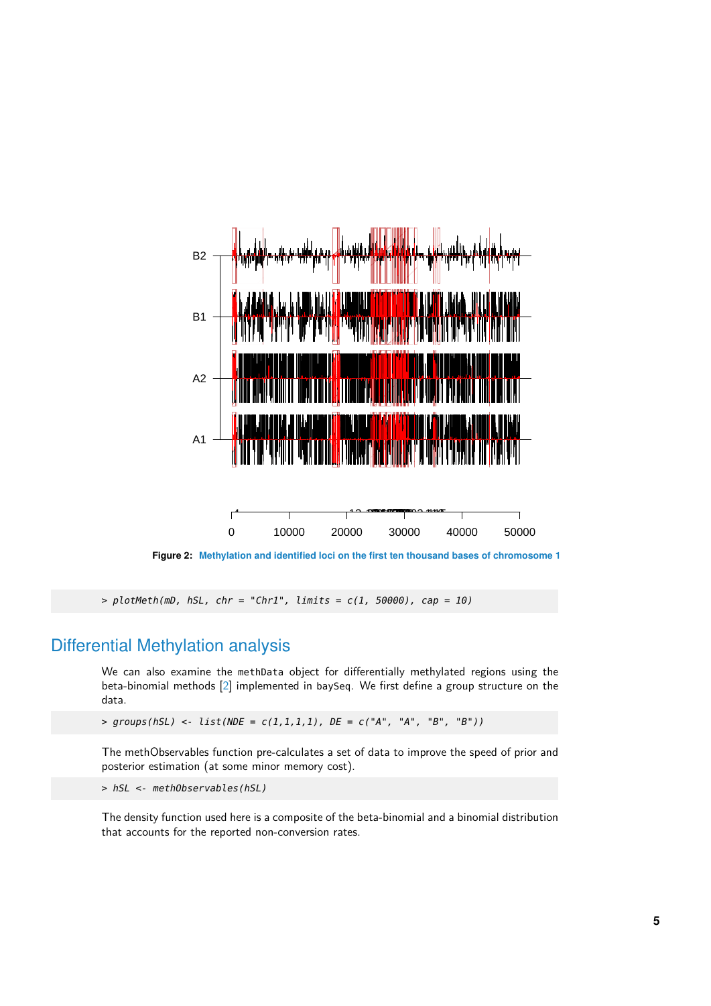

 $> plotMethod, hSL, chr = "Chr1", limits = c(1, 50000), cap = 10)$ 

## Differential Methylation analysis

We can also examine the methData object for differentially methylated regions using the beta-binomial methods [\[2\]](#page-6-1) implemented in baySeq. We first define a group structure on the data.

 $>$  groups(hSL) <- list(NDE = c(1,1,1,1), DE = c("A", "A", "B", "B"))

The methObservables function pre-calculates a set of data to improve the speed of prior and posterior estimation (at some minor memory cost).

> hSL <- methObservables(hSL)

The density function used here is a composite of the beta-binomial and a binomial distribution that accounts for the reported non-conversion rates.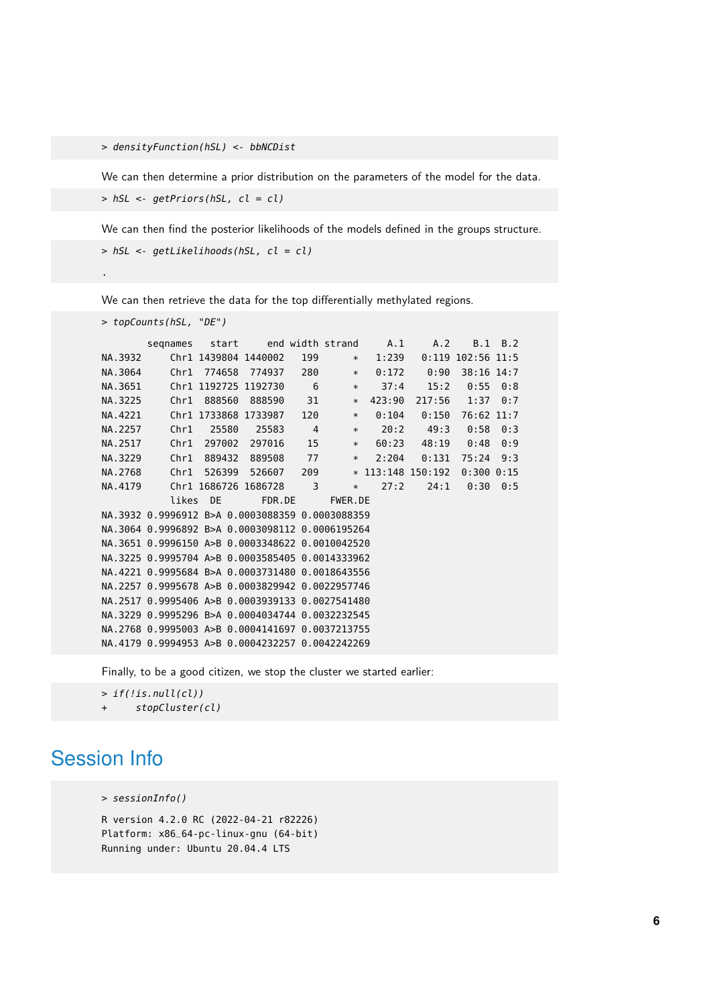> densityFunction(hSL) <- bbNCDist

We can then determine a prior distribution on the parameters of the model for the data.

> hSL <- getPriors(hSL, cl = cl)

We can then find the posterior likelihoods of the models defined in the groups structure.

> hSL <- getLikelihoods(hSL, cl = cl)

We can then retrieve the data for the top differentially methylated regions.

```
> topCounts(hSL, "DE")
```
.

|         | segnames                                        | start                |                      |                | end width strand | A.1    | A.2                 | B.1                 | B.2 |
|---------|-------------------------------------------------|----------------------|----------------------|----------------|------------------|--------|---------------------|---------------------|-----|
| NA.3932 |                                                 | Chr1 1439804 1440002 |                      | 199            | $\ast$           | 1:239  |                     | $0:119$ 102:56 11:5 |     |
| NA.3064 | Chr1                                            | 774658               | 774937               | 280            | $\ast$           | 0:172  | 0:90                | 38:16 14:7          |     |
| NA.3651 |                                                 | Chr1 1192725 1192730 |                      | 6              | $\ast$           | 37:4   | 15:2                | 0:55                | 0:8 |
| NA.3225 | Chr1                                            | 888560               | 888590               | 31             | $\ast$           | 423:90 | 217:56              | 1:37                | 0:7 |
| NA.4221 |                                                 | Chr1 1733868         | 1733987              | 120            | $\ast$           | 0:104  | 0:150               | 76:62 11:7          |     |
| NA.2257 | Chr1                                            | 25580                | 25583                | $\overline{4}$ | $\ast$           | 20:2   | 49:3                | 0:58                | 0:3 |
| NA.2517 | Chr1                                            | 297002               | 297016               | 15             | $\ast$           | 60:23  | 48:19               | 0:48                | 0:9 |
| NA.3229 | Chr1                                            | 889432               | 889508               | 77             | $\ast$           | 2:204  | 0:131               | 75:24 9:3           |     |
| NA.2768 | Chr1                                            | 526399               | 526607               | 209            |                  |        | $*$ 113:148 150:192 | 0:3000:15           |     |
| NA.4179 |                                                 |                      | Chrl 1686726 1686728 | 3              | $\ast$           | 27:2   | 24:1                | 0:300:5             |     |
|         | likes                                           | <b>DE</b>            | FDR.DE               |                | FWER.DE          |        |                     |                     |     |
|         | NA.3932 0.9996912 B>A 0.0003088359 0.0003088359 |                      |                      |                |                  |        |                     |                     |     |
|         | NA.3064 0.9996892 B>A 0.0003098112 0.0006195264 |                      |                      |                |                  |        |                     |                     |     |
|         | NA.3651 0.9996150 A>B 0.0003348622 0.0010042520 |                      |                      |                |                  |        |                     |                     |     |
|         | NA.3225 0.9995704 A>B 0.0003585405 0.0014333962 |                      |                      |                |                  |        |                     |                     |     |
|         | NA.4221 0.9995684 B>A 0.0003731480 0.0018643556 |                      |                      |                |                  |        |                     |                     |     |
|         | NA.2257 0.9995678 A>B 0.0003829942 0.0022957746 |                      |                      |                |                  |        |                     |                     |     |
|         | NA.2517 0.9995406 A>B 0.0003939133 0.0027541480 |                      |                      |                |                  |        |                     |                     |     |
|         | NA.3229 0.9995296 B>A 0.0004034744 0.0032232545 |                      |                      |                |                  |        |                     |                     |     |
|         | NA.2768 0.9995003 A>B 0.0004141697 0.0037213755 |                      |                      |                |                  |        |                     |                     |     |
|         | NA.4179 0.9994953 A>B 0.0004232257 0.0042242269 |                      |                      |                |                  |        |                     |                     |     |

Finally, to be a good citizen, we stop the cluster we started earlier:

```
> if(!is.null(cl))
      stopCluster(cl)
```
# Session Info

> sessionInfo()

R version 4.2.0 RC (2022-04-21 r82226) Platform: x86\_64-pc-linux-gnu (64-bit) Running under: Ubuntu 20.04.4 LTS